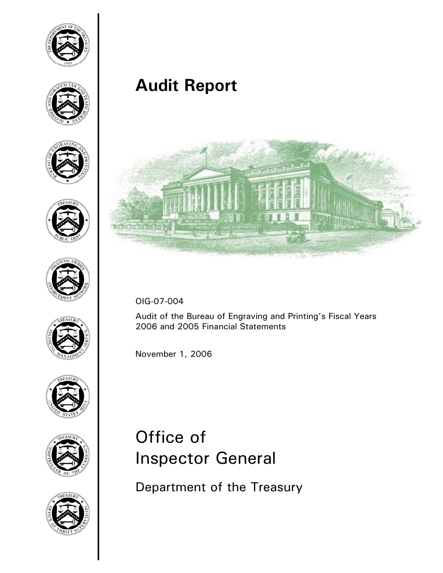

















**Audit Report**



OIG-07-004

Audit of the Bureau of Engraving and Printing's Fiscal Years 2006 and 2005 Financial Statements

November 1, 2006

# Office of Inspector General

Department of the Treasury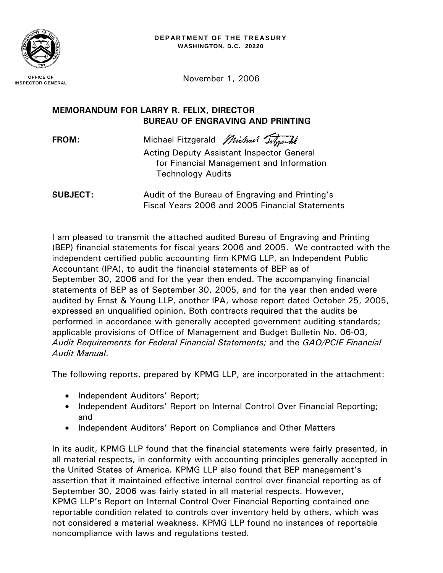

**INSPECTOR GENERAL**

November 1, 2006

# **MEMORANDUM FOR LARRY R. FELIX, DIRECTOR BUREAU OF ENGRAVING AND PRINTING**

FROM: Michael Fitzgerald *Michael Titzgardt* 

Acting Deputy Assistant Inspector General for Financial Management and Information Technology Audits

**SUBJECT:** Audit of the Bureau of Engraving and Printing's Fiscal Years 2006 and 2005 Financial Statements

I am pleased to transmit the attached audited Bureau of Engraving and Printing (BEP) financial statements for fiscal years 2006 and 2005. We contracted with the independent certified public accounting firm KPMG LLP, an Independent Public Accountant (IPA), to audit the financial statements of BEP as of September 30, 2006 and for the year then ended. The accompanying financial statements of BEP as of September 30, 2005, and for the year then ended were audited by Ernst & Young LLP, another IPA, whose report dated October 25, 2005, expressed an unqualified opinion. Both contracts required that the audits be performed in accordance with generally accepted government auditing standards; applicable provisions of Office of Management and Budget Bulletin No. 06-03, *Audit Requirements for Federal Financial Statements;* and the *GAO/PCIE Financial Audit Manual*.

The following reports, prepared by KPMG LLP, are incorporated in the attachment:

- Independent Auditors' Report;
- Independent Auditors' Report on Internal Control Over Financial Reporting; and
- Independent Auditors' Report on Compliance and Other Matters

In its audit, KPMG LLP found that the financial statements were fairly presented, in all material respects, in conformity with accounting principles generally accepted in the United States of America. KPMG LLP also found that BEP management's assertion that it maintained effective internal control over financial reporting as of September 30, 2006 was fairly stated in all material respects. However, KPMG LLP's Report on Internal Control Over Financial Reporting contained one reportable condition related to controls over inventory held by others, which was not considered a material weakness. KPMG LLP found no instances of reportable noncompliance with laws and regulations tested.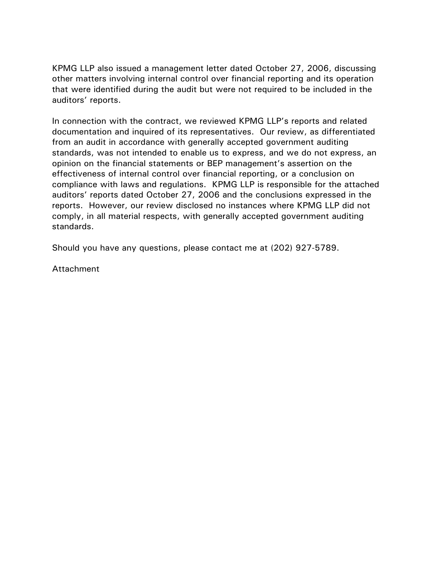KPMG LLP also issued a management letter dated October 27, 2006, discussing other matters involving internal control over financial reporting and its operation that were identified during the audit but were not required to be included in the auditors' reports.

In connection with the contract, we reviewed KPMG LLP's reports and related documentation and inquired of its representatives. Our review, as differentiated from an audit in accordance with generally accepted government auditing standards, was not intended to enable us to express, and we do not express, an opinion on the financial statements or BEP management's assertion on the effectiveness of internal control over financial reporting, or a conclusion on compliance with laws and regulations. KPMG LLP is responsible for the attached auditors' reports dated October 27, 2006 and the conclusions expressed in the reports. However, our review disclosed no instances where KPMG LLP did not comply, in all material respects, with generally accepted government auditing standards.

Should you have any questions, please contact me at (202) 927-5789.

Attachment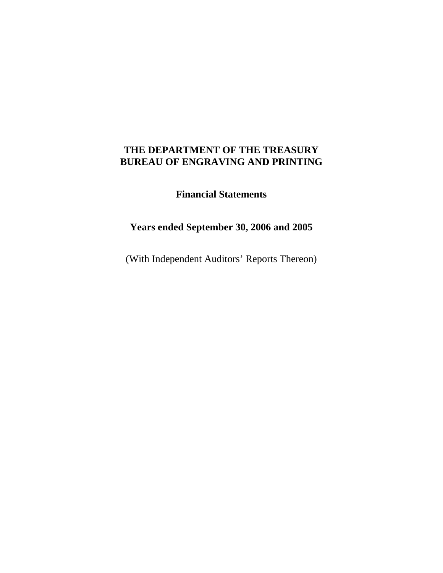**Financial Statements** 

# **Years ended September 30, 2006 and 2005**

(With Independent Auditors' Reports Thereon)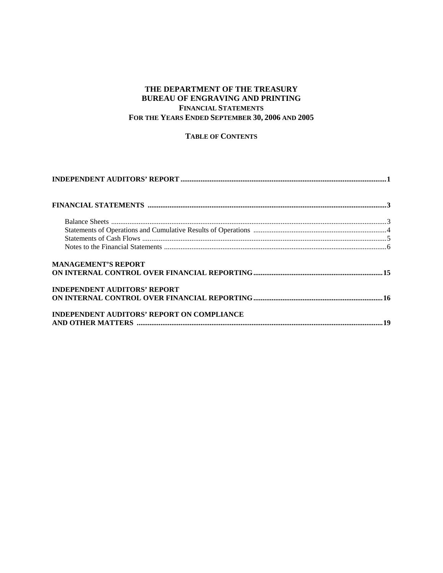#### **THE DEPARTMENT OF THE TREASURY BUREAU OF ENGRAVING AND PRINTING FINANCIAL STATEMENTS FOR THE YEARS ENDED SEPTEMBER 30, 2006 AND 2005**

**TABLE OF CONTENTS**

| <b>MANAGEMENT'S REPORT</b>                        |  |
|---------------------------------------------------|--|
|                                                   |  |
| <b>INDEPENDENT AUDITORS' REPORT</b>               |  |
|                                                   |  |
| <b>INDEPENDENT AUDITORS' REPORT ON COMPLIANCE</b> |  |
|                                                   |  |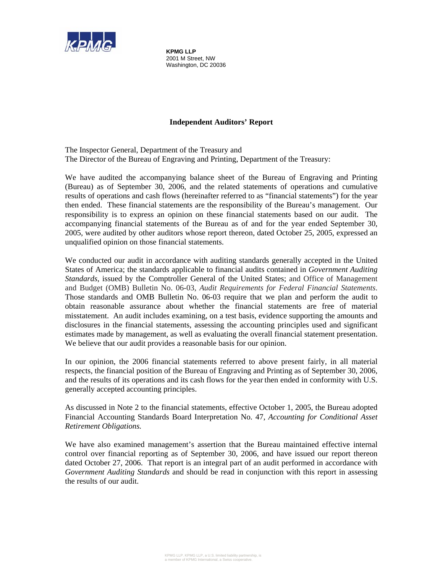

**KPMG LLP**  2001 M Street, NW Washington, DC 20036

#### **Independent Auditors' Report**

The Inspector General, Department of the Treasury and The Director of the Bureau of Engraving and Printing, Department of the Treasury:

We have audited the accompanying balance sheet of the Bureau of Engraving and Printing (Bureau) as of September 30, 2006, and the related statements of operations and cumulative results of operations and cash flows (hereinafter referred to as "financial statements") for the year then ended. These financial statements are the responsibility of the Bureau's management. Our responsibility is to express an opinion on these financial statements based on our audit. The accompanying financial statements of the Bureau as of and for the year ended September 30, 2005, were audited by other auditors whose report thereon, dated October 25, 2005, expressed an unqualified opinion on those financial statements.

We conducted our audit in accordance with auditing standards generally accepted in the United States of America; the standards applicable to financial audits contained in *Government Auditing Standards*, issued by the Comptroller General of the United States; and Office of Management and Budget (OMB) Bulletin No. 06-03, *Audit Requirements for Federal Financial Statements*. Those standards and OMB Bulletin No. 06-03 require that we plan and perform the audit to obtain reasonable assurance about whether the financial statements are free of material misstatement. An audit includes examining, on a test basis, evidence supporting the amounts and disclosures in the financial statements, assessing the accounting principles used and significant estimates made by management, as well as evaluating the overall financial statement presentation. We believe that our audit provides a reasonable basis for our opinion.

In our opinion, the 2006 financial statements referred to above present fairly, in all material respects, the financial position of the Bureau of Engraving and Printing as of September 30, 2006, and the results of its operations and its cash flows for the year then ended in conformity with U.S. generally accepted accounting principles.

As discussed in Note 2 to the financial statements, effective October 1, 2005, the Bureau adopted Financial Accounting Standards Board Interpretation No. 47, *Accounting for Conditional Asset Retirement Obligations.*

We have also examined management's assertion that the Bureau maintained effective internal control over financial reporting as of September 30, 2006, and have issued our report thereon dated October 27, 2006. That report is an integral part of an audit performed in accordance with *Government Auditing Standards* and should be read in conjunction with this report in assessing the results of our audit.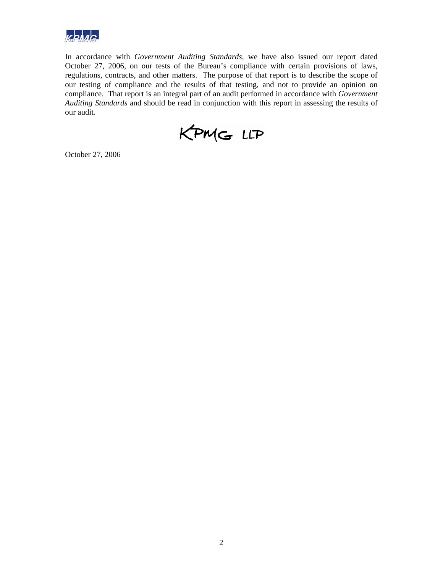

In accordance with *Government Auditing Standards*, we have also issued our report dated October 27, 2006, on our tests of the Bureau's compliance with certain provisions of laws, regulations, contracts, and other matters. The purpose of that report is to describe the scope of our testing of compliance and the results of that testing, and not to provide an opinion on compliance. That report is an integral part of an audit performed in accordance with *Government Auditing Standards* and should be read in conjunction with this report in assessing the results of our audit.



October 27, 2006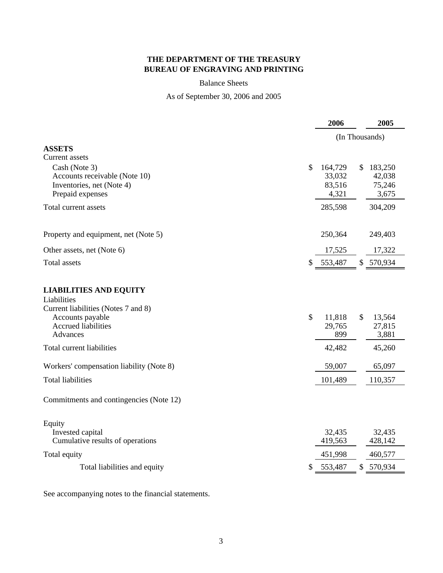#### Balance Sheets

# As of September 30, 2006 and 2005

|                                                                                                         |               | 2006                                 | 2005                                        |
|---------------------------------------------------------------------------------------------------------|---------------|--------------------------------------|---------------------------------------------|
|                                                                                                         |               |                                      | (In Thousands)                              |
| <b>ASSETS</b><br>Current assets                                                                         |               |                                      |                                             |
| Cash (Note 3)<br>Accounts receivable (Note 10)<br>Inventories, net (Note 4)<br>Prepaid expenses         | \$            | 164,729<br>33,032<br>83,516<br>4,321 | \$.<br>183,250<br>42,038<br>75,246<br>3,675 |
| Total current assets                                                                                    |               | 285,598                              | 304,209                                     |
| Property and equipment, net (Note 5)                                                                    |               | 250,364                              | 249,403                                     |
| Other assets, net (Note 6)                                                                              |               | 17,525                               | 17,322                                      |
| <b>Total assets</b>                                                                                     | \$            | 553,487                              | 570,934<br>\$                               |
| <b>LIABILITIES AND EQUITY</b><br>Liabilities<br>Current liabilities (Notes 7 and 8)<br>Accounts payable | $\mathcal{S}$ | 11,818                               | \$<br>13,564                                |
| <b>Accrued liabilities</b><br>Advances                                                                  |               | 29,765<br>899                        | 27,815<br>3,881                             |
| Total current liabilities                                                                               |               | 42,482                               | 45,260                                      |
| Workers' compensation liability (Note 8)                                                                |               | 59,007                               | 65,097                                      |
| <b>Total liabilities</b>                                                                                |               | 101,489                              | 110,357                                     |
| Commitments and contingencies (Note 12)                                                                 |               |                                      |                                             |
| Equity<br>Invested capital<br>Cumulative results of operations                                          |               | 32,435<br>419,563                    | 32,435<br>428,142                           |
| Total equity                                                                                            |               | 451,998                              | 460,577                                     |
| Total liabilities and equity                                                                            | \$            | 553,487                              | \$<br>570,934                               |
|                                                                                                         |               |                                      |                                             |

See accompanying notes to the financial statements.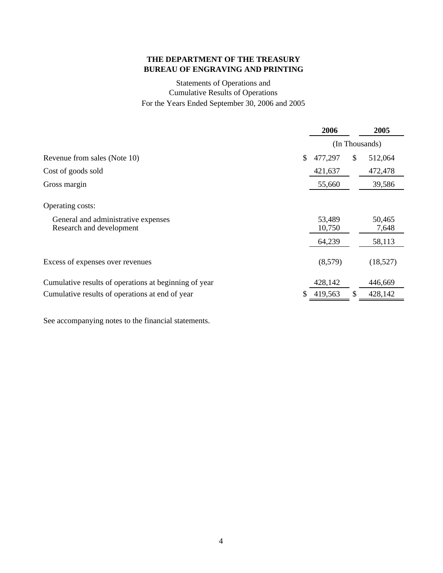# Statements of Operations and Cumulative Results of Operations For the Years Ended September 30, 2006 and 2005

|                                                                 | 2006             |    | 2005            |
|-----------------------------------------------------------------|------------------|----|-----------------|
|                                                                 | (In Thousands)   |    |                 |
| Revenue from sales (Note 10)                                    | \$<br>477,297    | \$ | 512,064         |
| Cost of goods sold                                              | 421,637          |    | 472,478         |
| Gross margin                                                    | 55,660           |    | 39,586          |
| Operating costs:                                                |                  |    |                 |
| General and administrative expenses<br>Research and development | 53,489<br>10,750 |    | 50,465<br>7,648 |
|                                                                 | 64,239           |    | 58,113          |
| Excess of expenses over revenues                                | (8,579)          |    | (18,527)        |
| Cumulative results of operations at beginning of year           | 428,142          |    | 446,669         |
| Cumulative results of operations at end of year                 | \$<br>419,563    | \$ | 428,142         |

See accompanying notes to the financial statements.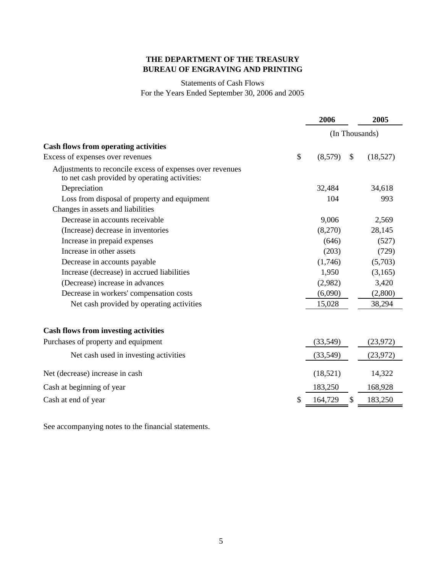#### Statements of Cash Flows For the Years Ended September 30, 2006 and 2005

|                                                                                                            | 2006           |               | 2005      |
|------------------------------------------------------------------------------------------------------------|----------------|---------------|-----------|
|                                                                                                            | (In Thousands) |               |           |
| <b>Cash flows from operating activities</b>                                                                |                |               |           |
| \$<br>Excess of expenses over revenues                                                                     | (8,579)        | $\mathcal{S}$ | (18,527)  |
| Adjustments to reconcile excess of expenses over revenues<br>to net cash provided by operating activities: |                |               |           |
| Depreciation                                                                                               | 32,484         |               | 34,618    |
| Loss from disposal of property and equipment                                                               | 104            |               | 993       |
| Changes in assets and liabilities                                                                          |                |               |           |
| Decrease in accounts receivable                                                                            | 9,006          |               | 2,569     |
| (Increase) decrease in inventories                                                                         | (8,270)        |               | 28,145    |
| Increase in prepaid expenses                                                                               | (646)          |               | (527)     |
| Increase in other assets                                                                                   | (203)          |               | (729)     |
| Decrease in accounts payable                                                                               | (1,746)        |               | (5,703)   |
| Increase (decrease) in accrued liabilities                                                                 | 1,950          |               | (3,165)   |
| (Decrease) increase in advances                                                                            | (2,982)        |               | 3,420     |
| Decrease in workers' compensation costs                                                                    | (6,090)        |               | (2,800)   |
| Net cash provided by operating activities                                                                  | 15,028         |               | 38,294    |
| <b>Cash flows from investing activities</b>                                                                |                |               |           |
| Purchases of property and equipment                                                                        | (33,549)       |               | (23, 972) |
| Net cash used in investing activities                                                                      | (33, 549)      |               | (23, 972) |
| Net (decrease) increase in cash                                                                            | (18, 521)      |               | 14,322    |
| Cash at beginning of year                                                                                  | 183,250        |               | 168,928   |
| Cash at end of year                                                                                        | 164,729        | $\mathcal{S}$ | 183,250   |

See accompanying notes to the financial statements.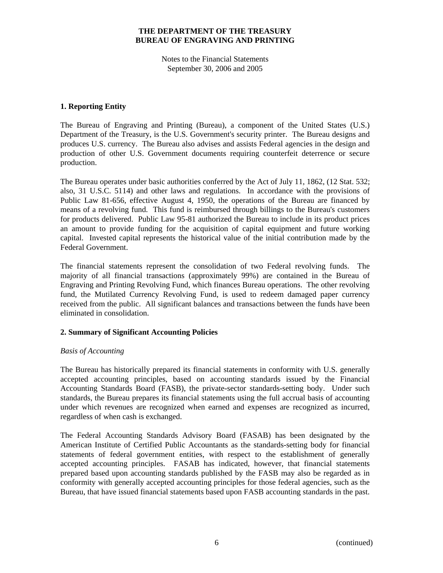Notes to the Financial Statements September 30, 2006 and 2005

#### **1. Reporting Entity**

The Bureau of Engraving and Printing (Bureau), a component of the United States (U.S.) Department of the Treasury, is the U.S. Government's security printer. The Bureau designs and produces U.S. currency. The Bureau also advises and assists Federal agencies in the design and production of other U.S. Government documents requiring counterfeit deterrence or secure production.

The Bureau operates under basic authorities conferred by the Act of July 11, 1862, (12 Stat. 532; also, 31 U.S.C. 5114) and other laws and regulations. In accordance with the provisions of Public Law 81-656, effective August 4, 1950, the operations of the Bureau are financed by means of a revolving fund. This fund is reimbursed through billings to the Bureau's customers for products delivered. Public Law 95-81 authorized the Bureau to include in its product prices an amount to provide funding for the acquisition of capital equipment and future working capital. Invested capital represents the historical value of the initial contribution made by the Federal Government.

The financial statements represent the consolidation of two Federal revolving funds. The majority of all financial transactions (approximately 99%) are contained in the Bureau of Engraving and Printing Revolving Fund, which finances Bureau operations. The other revolving fund, the Mutilated Currency Revolving Fund, is used to redeem damaged paper currency received from the public. All significant balances and transactions between the funds have been eliminated in consolidation.

#### **2. Summary of Significant Accounting Policies**

#### *Basis of Accounting*

The Bureau has historically prepared its financial statements in conformity with U.S. generally accepted accounting principles, based on accounting standards issued by the Financial Accounting Standards Board (FASB), the private-sector standards-setting body. Under such standards, the Bureau prepares its financial statements using the full accrual basis of accounting under which revenues are recognized when earned and expenses are recognized as incurred, regardless of when cash is exchanged.

The Federal Accounting Standards Advisory Board (FASAB) has been designated by the American Institute of Certified Public Accountants as the standards-setting body for financial statements of federal government entities, with respect to the establishment of generally accepted accounting principles. FASAB has indicated, however, that financial statements prepared based upon accounting standards published by the FASB may also be regarded as in conformity with generally accepted accounting principles for those federal agencies, such as the Bureau, that have issued financial statements based upon FASB accounting standards in the past.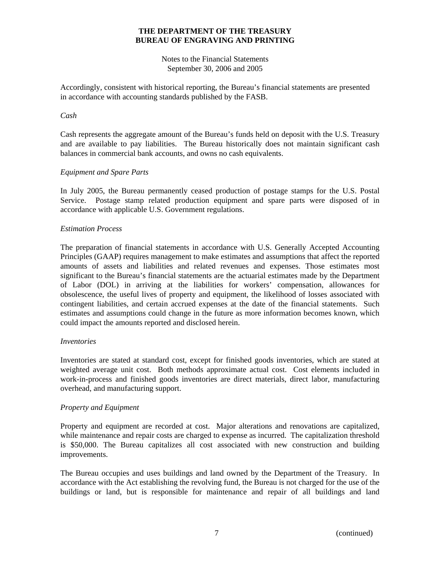Notes to the Financial Statements September 30, 2006 and 2005

Accordingly, consistent with historical reporting, the Bureau's financial statements are presented in accordance with accounting standards published by the FASB.

#### *Cash*

Cash represents the aggregate amount of the Bureau's funds held on deposit with the U.S. Treasury and are available to pay liabilities. The Bureau historically does not maintain significant cash balances in commercial bank accounts, and owns no cash equivalents.

#### *Equipment and Spare Parts*

In July 2005, the Bureau permanently ceased production of postage stamps for the U.S. Postal Service. Postage stamp related production equipment and spare parts were disposed of in accordance with applicable U.S. Government regulations.

#### *Estimation Process*

The preparation of financial statements in accordance with U.S. Generally Accepted Accounting Principles (GAAP) requires management to make estimates and assumptions that affect the reported amounts of assets and liabilities and related revenues and expenses. Those estimates most significant to the Bureau's financial statements are the actuarial estimates made by the Department of Labor (DOL) in arriving at the liabilities for workers' compensation, allowances for obsolescence, the useful lives of property and equipment, the likelihood of losses associated with contingent liabilities, and certain accrued expenses at the date of the financial statements. Such estimates and assumptions could change in the future as more information becomes known, which could impact the amounts reported and disclosed herein.

#### *Inventories*

Inventories are stated at standard cost, except for finished goods inventories, which are stated at weighted average unit cost. Both methods approximate actual cost. Cost elements included in work-in-process and finished goods inventories are direct materials, direct labor, manufacturing overhead, and manufacturing support.

#### *Property and Equipment*

Property and equipment are recorded at cost. Major alterations and renovations are capitalized, while maintenance and repair costs are charged to expense as incurred. The capitalization threshold is \$50,000. The Bureau capitalizes all cost associated with new construction and building improvements.

The Bureau occupies and uses buildings and land owned by the Department of the Treasury. In accordance with the Act establishing the revolving fund, the Bureau is not charged for the use of the buildings or land, but is responsible for maintenance and repair of all buildings and land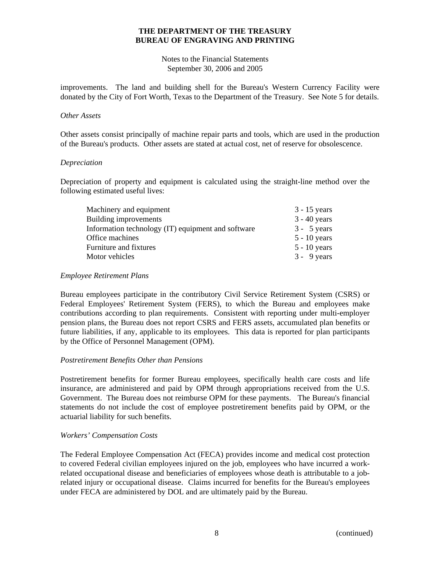Notes to the Financial Statements September 30, 2006 and 2005

improvements. The land and building shell for the Bureau's Western Currency Facility were donated by the City of Fort Worth, Texas to the Department of the Treasury. See Note 5 for details.

#### *Other Assets*

Other assets consist principally of machine repair parts and tools, which are used in the production of the Bureau's products. Other assets are stated at actual cost, net of reserve for obsolescence.

#### *Depreciation*

Depreciation of property and equipment is calculated using the straight-line method over the following estimated useful lives:

| Machinery and equipment                            | $3 - 15$ years |
|----------------------------------------------------|----------------|
| Building improvements                              | $3 - 40$ years |
| Information technology (IT) equipment and software | $3 - 5$ years  |
| Office machines                                    | $5 - 10$ years |
| Furniture and fixtures                             | $5 - 10$ years |
| Motor vehicles                                     | $3 - 9$ years  |

#### *Employee Retirement Plans*

Bureau employees participate in the contributory Civil Service Retirement System (CSRS) or Federal Employees' Retirement System (FERS), to which the Bureau and employees make contributions according to plan requirements. Consistent with reporting under multi-employer pension plans, the Bureau does not report CSRS and FERS assets, accumulated plan benefits or future liabilities, if any, applicable to its employees. This data is reported for plan participants by the Office of Personnel Management (OPM).

#### *Postretirement Benefits Other than Pensions*

Postretirement benefits for former Bureau employees, specifically health care costs and life insurance, are administered and paid by OPM through appropriations received from the U.S. Government. The Bureau does not reimburse OPM for these payments. The Bureau's financial statements do not include the cost of employee postretirement benefits paid by OPM, or the actuarial liability for such benefits.

#### *Workers' Compensation Costs*

The Federal Employee Compensation Act (FECA) provides income and medical cost protection to covered Federal civilian employees injured on the job, employees who have incurred a workrelated occupational disease and beneficiaries of employees whose death is attributable to a jobrelated injury or occupational disease. Claims incurred for benefits for the Bureau's employees under FECA are administered by DOL and are ultimately paid by the Bureau.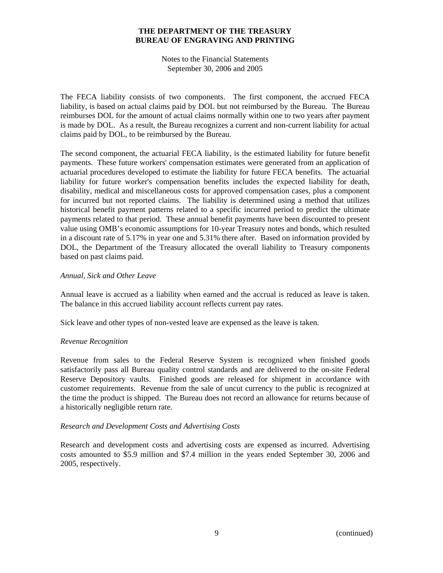Notes to the Financial Statements September 30, 2006 and 2005

The FECA liability consists of two components. The first component, the accrued FECA liability, is based on actual claims paid by DOL but not reimbursed by the Bureau. The Bureau reimburses DOL for the amount of actual claims normally within one to two years after payment is made by DOL. As a result, the Bureau recognizes a current and non-current liability for actual claims paid by DOL, to be reimbursed by the Bureau.

The second component, the actuarial FECA liability, is the estimated liability for future benefit payments. These future workers' compensation estimates were generated from an application of actuarial procedures developed to estimate the liability for future FECA benefits. The actuarial liability for future worker's compensation benefits includes the expected liability for death, disability, medical and miscellaneous costs for approved compensation cases, plus a component for incurred but not reported claims. The liability is determined using a method that utilizes historical benefit payment patterns related to a specific incurred period to predict the ultimate payments related to that period. These annual benefit payments have been discounted to present value using OMB's economic assumptions for 10-year Treasury notes and bonds, which resulted in a discount rate of 5.17% in year one and 5.31% there after. Based on information provided by DOL, the Department of the Treasury allocated the overall liability to Treasury components based on past claims paid.

#### *Annual, Sick and Other Leave*

Annual leave is accrued as a liability when earned and the accrual is reduced as leave is taken. The balance in this accrued liability account reflects current pay rates.

Sick leave and other types of non-vested leave are expensed as the leave is taken.

#### *Revenue Recognition*

Revenue from sales to the Federal Reserve System is recognized when finished goods satisfactorily pass all Bureau quality control standards and are delivered to the on-site Federal Reserve Depository vaults. Finished goods are released for shipment in accordance with customer requirements. Revenue from the sale of uncut currency to the public is recognized at the time the product is shipped. The Bureau does not record an allowance for returns because of a historically negligible return rate.

#### *Research and Development Costs and Advertising Costs*

Research and development costs and advertising costs are expensed as incurred. Advertising costs amounted to \$5.9 million and \$7.4 million in the years ended September 30, 2006 and 2005, respectively.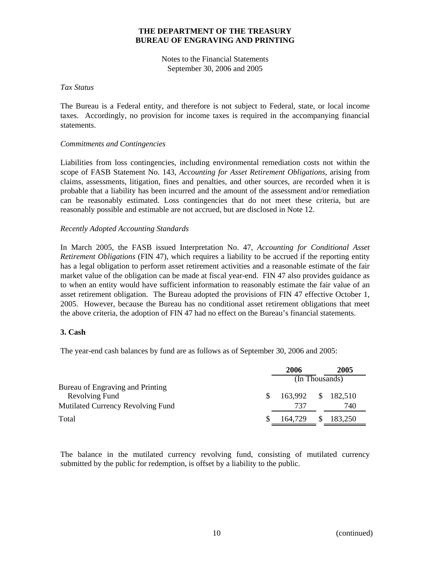Notes to the Financial Statements September 30, 2006 and 2005

#### *Tax Status*

The Bureau is a Federal entity, and therefore is not subject to Federal, state, or local income taxes. Accordingly, no provision for income taxes is required in the accompanying financial statements.

#### *Commitments and Contingencies*

Liabilities from loss contingencies, including environmental remediation costs not within the scope of FASB Statement No. 143, *Accounting for Asset Retirement Obligations*, arising from claims, assessments, litigation, fines and penalties, and other sources, are recorded when it is probable that a liability has been incurred and the amount of the assessment and/or remediation can be reasonably estimated. Loss contingencies that do not meet these criteria, but are reasonably possible and estimable are not accrued, but are disclosed in Note 12.

#### *Recently Adopted Accounting Standards*

In March 2005, the FASB issued Interpretation No. 47, *Accounting for Conditional Asset Retirement Obligations* (FIN 47), which requires a liability to be accrued if the reporting entity has a legal obligation to perform asset retirement activities and a reasonable estimate of the fair market value of the obligation can be made at fiscal year-end. FIN 47 also provides guidance as to when an entity would have sufficient information to reasonably estimate the fair value of an asset retirement obligation. The Bureau adopted the provisions of FIN 47 effective October 1, 2005. However, because the Bureau has no conditional asset retirement obligations that meet the above criteria, the adoption of FIN 47 had no effect on the Bureau's financial statements.

#### **3. Cash**

The year-end cash balances by fund are as follows as of September 30, 2006 and 2005:

|                                   | 2006               |     | 2005    |
|-----------------------------------|--------------------|-----|---------|
|                                   | (In Thousands)     |     |         |
| Bureau of Engraving and Printing  |                    |     |         |
| Revolving Fund<br><b>S</b>        | 163,992 \$ 182,510 |     |         |
| Mutilated Currency Revolving Fund | 737                |     | 740     |
| Total                             | 164.729            | \$. | 183,250 |
|                                   |                    |     |         |

The balance in the mutilated currency revolving fund, consisting of mutilated currency submitted by the public for redemption, is offset by a liability to the public.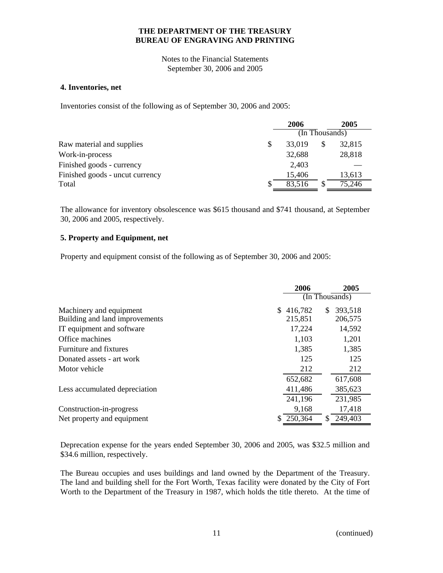Notes to the Financial Statements September 30, 2006 and 2005

#### **4. Inventories, net**

Inventories consist of the following as of September 30, 2006 and 2005:

|                                 |    | 2006                        |   | 2005   |
|---------------------------------|----|-----------------------------|---|--------|
|                                 |    | $(\overline{In}$ Thousands) |   |        |
| Raw material and supplies       | \$ | 33,019                      | S | 32,815 |
| Work-in-process                 |    | 32,688                      |   | 28,818 |
| Finished goods - currency       |    | 2,403                       |   |        |
| Finished goods - uncut currency |    | 15,406                      |   | 13,613 |
| Total                           | S  | 83,516                      |   | 75,246 |

The allowance for inventory obsolescence was \$615 thousand and \$741 thousand, at September 30, 2006 and 2005, respectively.

#### **5. Property and Equipment, net**

Property and equipment consist of the following as of September 30, 2006 and 2005:

|                                | 2006           | 2005                         |
|--------------------------------|----------------|------------------------------|
|                                |                | $(\overline{\ln}$ Thousands) |
| Machinery and equipment        | 416,782<br>\$. | 393,518<br>S.                |
| Building and land improvements | 215,851        | 206,575                      |
| IT equipment and software      | 17,224         | 14,592                       |
| Office machines                | 1,103          | 1,201                        |
| Furniture and fixtures         | 1,385          | 1,385                        |
| Donated assets - art work      | 125            | 125                          |
| Motor vehicle                  | 212            | 212                          |
|                                | 652,682        | 617,608                      |
| Less accumulated depreciation  | 411,486        | 385,623                      |
|                                | 241,196        | 231,985                      |
| Construction-in-progress       | 9,168          | 17,418                       |
| Net property and equipment     | 250,364        | 249,403<br>\$.               |

Deprecation expense for the years ended September 30, 2006 and 2005, was \$32.5 million and \$34.6 million, respectively.

The Bureau occupies and uses buildings and land owned by the Department of the Treasury. The land and building shell for the Fort Worth, Texas facility were donated by the City of Fort Worth to the Department of the Treasury in 1987, which holds the title thereto. At the time of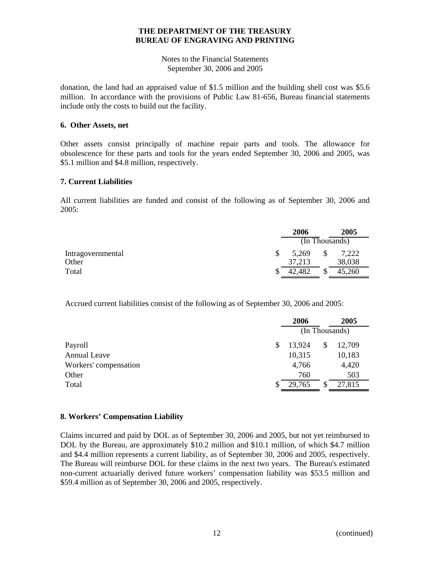Notes to the Financial Statements September 30, 2006 and 2005

donation, the land had an appraised value of \$1.5 million and the building shell cost was \$5.6 million. In accordance with the provisions of Public Law 81-656, Bureau financial statements include only the costs to build out the facility.

#### **6. Other Assets, net**

Other assets consist principally of machine repair parts and tools. The allowance for obsolescence for these parts and tools for the years ended September 30, 2006 and 2005, was \$5.1 million and \$4.8 million, respectively.

#### **7. Current Liabilities**

All current liabilities are funded and consist of the following as of September 30, 2006 and 2005:

|                   |    | 2006   | 2005           |
|-------------------|----|--------|----------------|
|                   |    |        | (In Thousands) |
| Intragovernmental | \$ | 5,269  | \$<br>7,222    |
| Other             |    | 37,213 | 38,038         |
| Total             | S  | 42,482 | \$<br>45,260   |

Accrued current liabilities consist of the following as of September 30, 2006 and 2005:

|                       | 2006         | 2005           |  |
|-----------------------|--------------|----------------|--|
|                       |              | (In Thousands) |  |
| Payroll               | \$<br>13,924 | \$<br>12,709   |  |
| <b>Annual Leave</b>   | 10,315       | 10,183         |  |
| Workers' compensation | 4,766        | 4,420          |  |
| Other                 | 760          | 503            |  |
| Total                 | 29,765       | 27,815         |  |

#### **8. Workers' Compensation Liability**

Claims incurred and paid by DOL as of September 30, 2006 and 2005, but not yet reimbursed to DOL by the Bureau, are approximately \$10.2 million and \$10.1 million, of which \$4.7 million and \$4.4 million represents a current liability, as of September 30, 2006 and 2005, respectively. The Bureau will reimburse DOL for these claims in the next two years. The Bureau's estimated non-current actuarially derived future workers' compensation liability was \$53.5 million and \$59.4 million as of September 30, 2006 and 2005, respectively.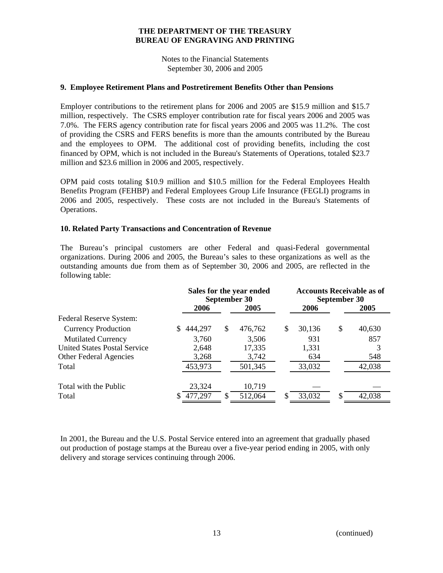Notes to the Financial Statements September 30, 2006 and 2005

#### **9. Employee Retirement Plans and Postretirement Benefits Other than Pensions**

Employer contributions to the retirement plans for 2006 and 2005 are \$15.9 million and \$15.7 million, respectively. The CSRS employer contribution rate for fiscal years 2006 and 2005 was 7.0%. The FERS agency contribution rate for fiscal years 2006 and 2005 was 11.2%. The cost of providing the CSRS and FERS benefits is more than the amounts contributed by the Bureau and the employees to OPM. The additional cost of providing benefits, including the cost financed by OPM, which is not included in the Bureau's Statements of Operations, totaled \$23.7 million and \$23.6 million in 2006 and 2005, respectively.

OPM paid costs totaling \$10.9 million and \$10.5 million for the Federal Employees Health Benefits Program (FEHBP) and Federal Employees Group Life Insurance (FEGLI) programs in 2006 and 2005, respectively. These costs are not included in the Bureau's Statements of Operations.

#### **10. Related Party Transactions and Concentration of Revenue**

The Bureau's principal customers are other Federal and quasi-Federal governmental organizations. During 2006 and 2005, the Bureau's sales to these organizations as well as the outstanding amounts due from them as of September 30, 2006 and 2005, are reflected in the following table:

|                                     | Sales for the year ended<br>September 30 |               |             | <b>Accounts Receivable as of</b><br>September 30 |
|-------------------------------------|------------------------------------------|---------------|-------------|--------------------------------------------------|
|                                     | 2006                                     | 2005          | 2006        | 2005                                             |
| Federal Reserve System:             |                                          |               |             |                                                  |
| <b>Currency Production</b>          | 444,297                                  | \$<br>476,762 | S<br>30,136 | \$<br>40,630                                     |
| <b>Mutilated Currency</b>           | 3,760                                    | 3,506         | 931         | 857                                              |
| <b>United States Postal Service</b> | 2,648                                    | 17,335        | 1,331       |                                                  |
| <b>Other Federal Agencies</b>       | 3,268                                    | 3,742         | 634         | 548                                              |
| Total                               | 453,973                                  | 501,345       | 33,032      | 42,038                                           |
| Total with the Public               | 23,324                                   | 10,719        |             |                                                  |
| Total                               | 477,297                                  | 512,064       | 33,032      | 42,038                                           |

In 2001, the Bureau and the U.S. Postal Service entered into an agreement that gradually phased out production of postage stamps at the Bureau over a five-year period ending in 2005, with only delivery and storage services continuing through 2006.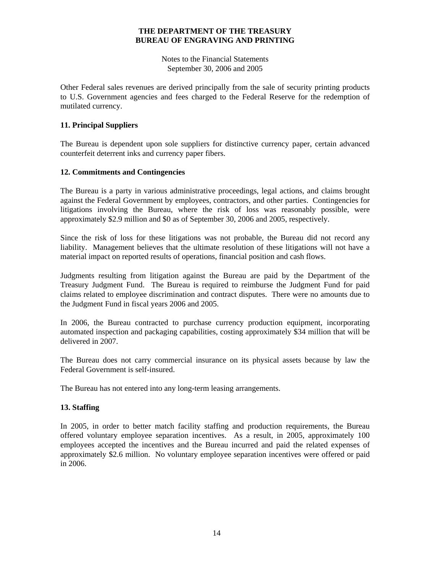Notes to the Financial Statements September 30, 2006 and 2005

Other Federal sales revenues are derived principally from the sale of security printing products to U.S. Government agencies and fees charged to the Federal Reserve for the redemption of mutilated currency.

#### **11. Principal Suppliers**

The Bureau is dependent upon sole suppliers for distinctive currency paper, certain advanced counterfeit deterrent inks and currency paper fibers.

#### **12. Commitments and Contingencies**

The Bureau is a party in various administrative proceedings, legal actions, and claims brought against the Federal Government by employees, contractors, and other parties. Contingencies for litigations involving the Bureau, where the risk of loss was reasonably possible, were approximately \$2.9 million and \$0 as of September 30, 2006 and 2005, respectively.

Since the risk of loss for these litigations was not probable, the Bureau did not record any liability. Management believes that the ultimate resolution of these litigations will not have a material impact on reported results of operations, financial position and cash flows.

Judgments resulting from litigation against the Bureau are paid by the Department of the Treasury Judgment Fund. The Bureau is required to reimburse the Judgment Fund for paid claims related to employee discrimination and contract disputes. There were no amounts due to the Judgment Fund in fiscal years 2006 and 2005.

In 2006, the Bureau contracted to purchase currency production equipment, incorporating automated inspection and packaging capabilities, costing approximately \$34 million that will be delivered in 2007.

The Bureau does not carry commercial insurance on its physical assets because by law the Federal Government is self-insured.

The Bureau has not entered into any long-term leasing arrangements.

#### **13. Staffing**

In 2005, in order to better match facility staffing and production requirements, the Bureau offered voluntary employee separation incentives. As a result, in 2005, approximately 100 employees accepted the incentives and the Bureau incurred and paid the related expenses of approximately \$2.6 million. No voluntary employee separation incentives were offered or paid in 2006.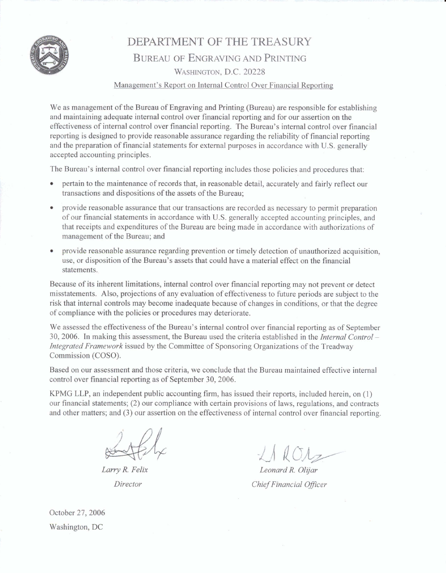

# DEPARTMENT OF **THE TREASURY BUREAU** OF ENGRAVING **AND PRINTING WASHINGTON,** D.C. **20228**

#### Management's Report on Internal Control Over **Financial Reporting**

**We as management** of **the Bureau** of Engraving and Printing (Bureau) are **responsible** for establishing and maintaining adequate internal control over financial **reporting** and **for** our assertion on the effectiveness of internal control over financial reporting. The Bureau's internal control over financial **reporting** is designed **to** provide reasonable assurance regarding the reliability of financial reporting and the preparation of financial statements for **external** purposes in **accordance** with U.S. generally **accepted** accounting principles.

The Bureau's internal control over financia1 reporting includes those **policies** and procedures that:

- pertain to the maintenance of records that, in reasonable detail, accurately **and** fairly reflect our transactions and dispositions of **the** assets **of the Bureau;**
- provide reasonable assurance that our **transactions** are **recorded** as necessary to permit preparation of our financial **statements** in accordance **with** U.S. generally accepted accounting principles, and that receipts and expenditures of the Bureau are **being** made **in accordance** with authorizations of management of the Bureau; and
- provide reasonable assurance regarding prevention or timely detection of unauthorized acquisition, **use,** or disposition of the Bureau's **assets** that could have a material effect on the financial statements.

Because of its inherent limitations, internal **control** over financial reporting may not prevent or detect misstatements. Also, **projections** of any evaluation of effectiveness to future periods are subject to the risk that internal controls may become inadequate **because of changes in conditions, or that the** degree of compliance with the policies or procedures may deteriorate.

We assessed the effectiveness of the Bureau's internal control over financial reporting as of September **30,2006. In** making this **assessment,** the Bureau **used** the **criteria** established **in the** *Internal Control* - *Inlegred* **Framework issued by the Committee** of Sponsoring **Organizations** of **the Treadway**  Commission (COSO).

Based on our assessment and those criteria, we conclude that the Bureau **maintained effective internal**  control over financial reporting as of September 30,2006.

KFMG LLP, an independent public accounting firm, has issued **their reports,** included **herein, on** (1) our financial statements; (2) our compliance with certain provisions of laws, regulations, and contracts and other matters; and (3) our assertion on the effectiveness of internal control **over** financial reporting.

**Lmry R** *Felix Director* 

 $LACA$ 

*Leonard* **R** *OIijaP Chief Financial Oflcer* 

October 27,2006 **Washington,** DC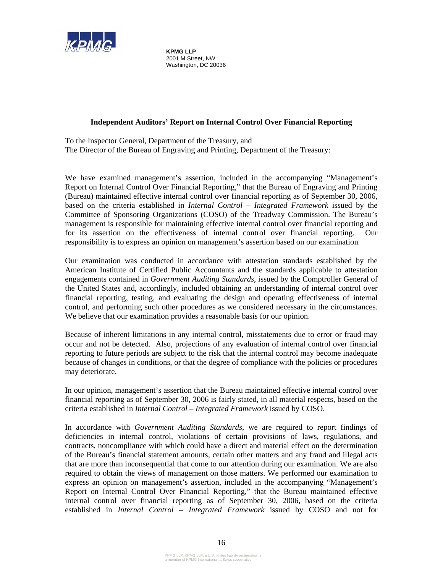

**KPMG LLP**  2001 M Street, NW Washington, DC 20036

#### **Independent Auditors' Report on Internal Control Over Financial Reporting**

To the Inspector General, Department of the Treasury, and The Director of the Bureau of Engraving and Printing, Department of the Treasury:

We have examined management's assertion, included in the accompanying "Management's Report on Internal Control Over Financial Reporting," that the Bureau of Engraving and Printing (Bureau) maintained effective internal control over financial reporting as of September 30, 2006, based on the criteria established in *Internal Control – Integrated Framework* issued by the Committee of Sponsoring Organizations (COSO) of the Treadway Commission. The Bureau's management is responsible for maintaining effective internal control over financial reporting and for its assertion on the effectiveness of internal control over financial reporting. Our responsibility is to express an opinion on management's assertion based on our examination.

Our examination was conducted in accordance with attestation standards established by the American Institute of Certified Public Accountants and the standards applicable to attestation engagements contained in *Government Auditing Standards*, issued by the Comptroller General of the United States and, accordingly, included obtaining an understanding of internal control over financial reporting, testing, and evaluating the design and operating effectiveness of internal control, and performing such other procedures as we considered necessary in the circumstances. We believe that our examination provides a reasonable basis for our opinion.

Because of inherent limitations in any internal control, misstatements due to error or fraud may occur and not be detected. Also, projections of any evaluation of internal control over financial reporting to future periods are subject to the risk that the internal control may become inadequate because of changes in conditions, or that the degree of compliance with the policies or procedures may deteriorate.

In our opinion, management's assertion that the Bureau maintained effective internal control over financial reporting as of September 30, 2006 is fairly stated, in all material respects, based on the criteria established in *Internal Control – Integrated Framework* issued by COSO.

In accordance with *Government Auditing Standards*, we are required to report findings of deficiencies in internal control, violations of certain provisions of laws, regulations, and contracts, noncompliance with which could have a direct and material effect on the determination of the Bureau's financial statement amounts, certain other matters and any fraud and illegal acts that are more than inconsequential that come to our attention during our examination. We are also required to obtain the views of management on those matters. We performed our examination to express an opinion on management's assertion, included in the accompanying "Management's Report on Internal Control Over Financial Reporting," that the Bureau maintained effective internal control over financial reporting as of September 30, 2006, based on the criteria established in *Internal Control – Integrated Framework* issued by COSO and not for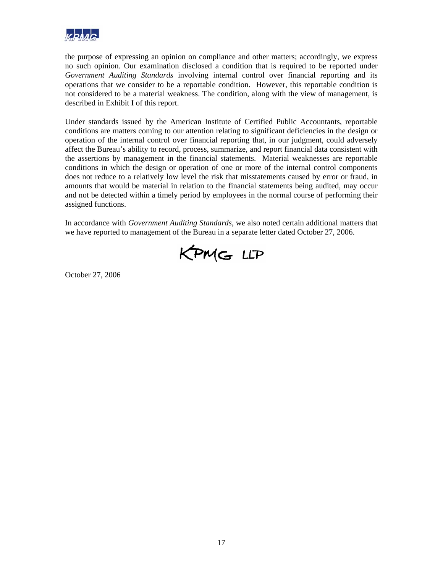

the purpose of expressing an opinion on compliance and other matters; accordingly, we express no such opinion. Our examination disclosed a condition that is required to be reported under *Government Auditing Standards* involving internal control over financial reporting and its operations that we consider to be a reportable condition. However, this reportable condition is not considered to be a material weakness. The condition, along with the view of management, is described in Exhibit I of this report.

Under standards issued by the American Institute of Certified Public Accountants, reportable conditions are matters coming to our attention relating to significant deficiencies in the design or operation of the internal control over financial reporting that, in our judgment, could adversely affect the Bureau's ability to record, process, summarize, and report financial data consistent with the assertions by management in the financial statements. Material weaknesses are reportable conditions in which the design or operation of one or more of the internal control components does not reduce to a relatively low level the risk that misstatements caused by error or fraud, in amounts that would be material in relation to the financial statements being audited, may occur and not be detected within a timely period by employees in the normal course of performing their assigned functions.

In accordance with *Government Auditing Standards*, we also noted certain additional matters that we have reported to management of the Bureau in a separate letter dated October 27, 2006.



October 27, 2006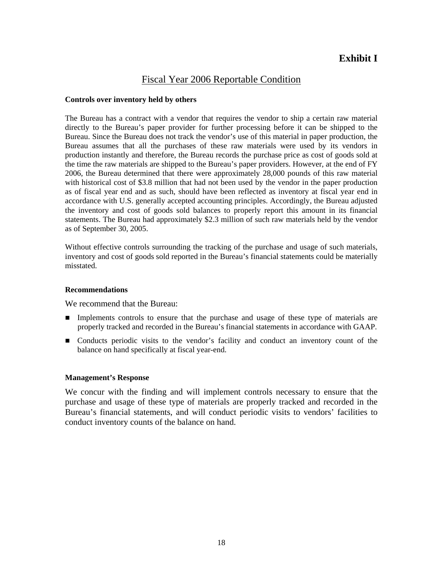# **Exhibit I**

# Fiscal Year 2006 Reportable Condition

#### **Controls over inventory held by others**

The Bureau has a contract with a vendor that requires the vendor to ship a certain raw material directly to the Bureau's paper provider for further processing before it can be shipped to the Bureau. Since the Bureau does not track the vendor's use of this material in paper production, the Bureau assumes that all the purchases of these raw materials were used by its vendors in production instantly and therefore, the Bureau records the purchase price as cost of goods sold at the time the raw materials are shipped to the Bureau's paper providers. However, at the end of FY 2006, the Bureau determined that there were approximately 28,000 pounds of this raw material with historical cost of \$3.8 million that had not been used by the vendor in the paper production as of fiscal year end and as such, should have been reflected as inventory at fiscal year end in accordance with U.S. generally accepted accounting principles. Accordingly, the Bureau adjusted the inventory and cost of goods sold balances to properly report this amount in its financial statements. The Bureau had approximately \$2.3 million of such raw materials held by the vendor as of September 30, 2005.

Without effective controls surrounding the tracking of the purchase and usage of such materials, inventory and cost of goods sold reported in the Bureau's financial statements could be materially misstated.

#### **Recommendations**

We recommend that the Bureau:

- Implements controls to ensure that the purchase and usage of these type of materials are properly tracked and recorded in the Bureau's financial statements in accordance with GAAP.
- Conducts periodic visits to the vendor's facility and conduct an inventory count of the balance on hand specifically at fiscal year-end.

#### **Management's Response**

We concur with the finding and will implement controls necessary to ensure that the purchase and usage of these type of materials are properly tracked and recorded in the Bureau's financial statements, and will conduct periodic visits to vendors' facilities to conduct inventory counts of the balance on hand.